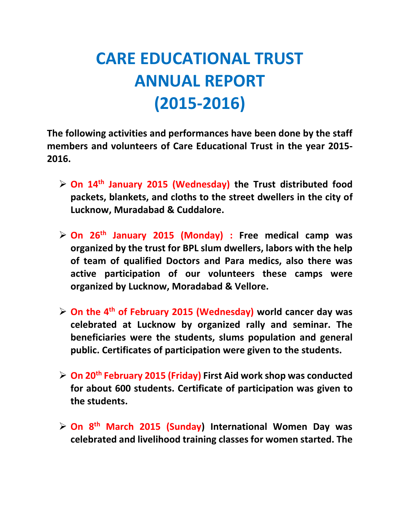## **CARE EDUCATIONAL TRUST ANNUAL REPORT (2015-2016)**

**The following activities and performances have been done by the staff members and volunteers of Care Educational Trust in the year 2015- 2016.**

- **On 14th January 2015 (Wednesday) the Trust distributed food packets, blankets, and cloths to the street dwellers in the city of Lucknow, Muradabad & Cuddalore.**
- **On 26th January 2015 (Monday) : Free medical camp was organized by the trust for BPL slum dwellers, labors with the help of team of qualified Doctors and Para medics, also there was active participation of our volunteers these camps were organized by Lucknow, Moradabad & Vellore.**
- **On the 4th of February 2015 (Wednesday) world cancer day was celebrated at Lucknow by organized rally and seminar. The beneficiaries were the students, slums population and general public. Certificates of participation were given to the students.**
- **On 20th February 2015 (Friday) First Aid work shop was conducted for about 600 students. Certificate of participation was given to the students.**
- **On 8th March 2015 (Sunday) International Women Day was celebrated and livelihood training classes for women started. The**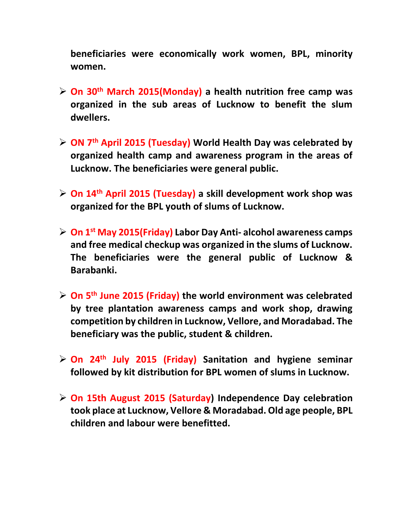**beneficiaries were economically work women, BPL, minority women.**

- **On 30th March 2015(Monday) a health nutrition free camp was organized in the sub areas of Lucknow to benefit the slum dwellers.**
- **ON 7th April 2015 (Tuesday) World Health Day was celebrated by organized health camp and awareness program in the areas of Lucknow. The beneficiaries were general public.**
- **On 14th April 2015 (Tuesday) a skill development work shop was organized for the BPL youth of slums of Lucknow.**
- **On 1st May 2015(Friday) Labor Day Anti- alcohol awareness camps and free medical checkup was organized in the slums of Lucknow. The beneficiaries were the general public of Lucknow & Barabanki.**
- **On 5th June 2015 (Friday) the world environment was celebrated by tree plantation awareness camps and work shop, drawing competition by children in Lucknow, Vellore, and Moradabad. The beneficiary was the public, student & children.**
- **On 24th July 2015 (Friday) Sanitation and hygiene seminar followed by kit distribution for BPL women of slums in Lucknow.**
- **On 15th August 2015 (Saturday) Independence Day celebration took place at Lucknow, Vellore & Moradabad. Old age people, BPL children and labour were benefitted.**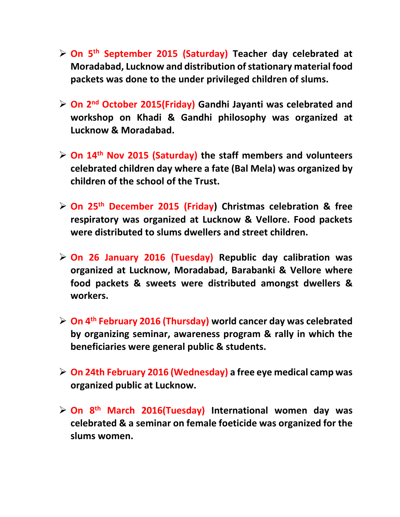- **On 5th September 2015 (Saturday) Teacher day celebrated at Moradabad, Lucknow and distribution of stationary material food packets was done to the under privileged children of slums.**
- **On 2nd October 2015(Friday) Gandhi Jayanti was celebrated and workshop on Khadi & Gandhi philosophy was organized at Lucknow & Moradabad.**
- **On 14th Nov 2015 (Saturday) the staff members and volunteers celebrated children day where a fate (Bal Mela) was organized by children of the school of the Trust.**
- **On 25th December 2015 (Friday) Christmas celebration & free respiratory was organized at Lucknow & Vellore. Food packets were distributed to slums dwellers and street children.**
- **On 26 January 2016 (Tuesday) Republic day calibration was organized at Lucknow, Moradabad, Barabanki & Vellore where food packets & sweets were distributed amongst dwellers & workers.**
- **On 4th February 2016 (Thursday) world cancer day was celebrated by organizing seminar, awareness program & rally in which the beneficiaries were general public & students.**
- **On 24th February 2016 (Wednesday) a free eye medical camp was organized public at Lucknow.**
- **On 8th March 2016(Tuesday) International women day was celebrated & a seminar on female foeticide was organized for the slums women.**